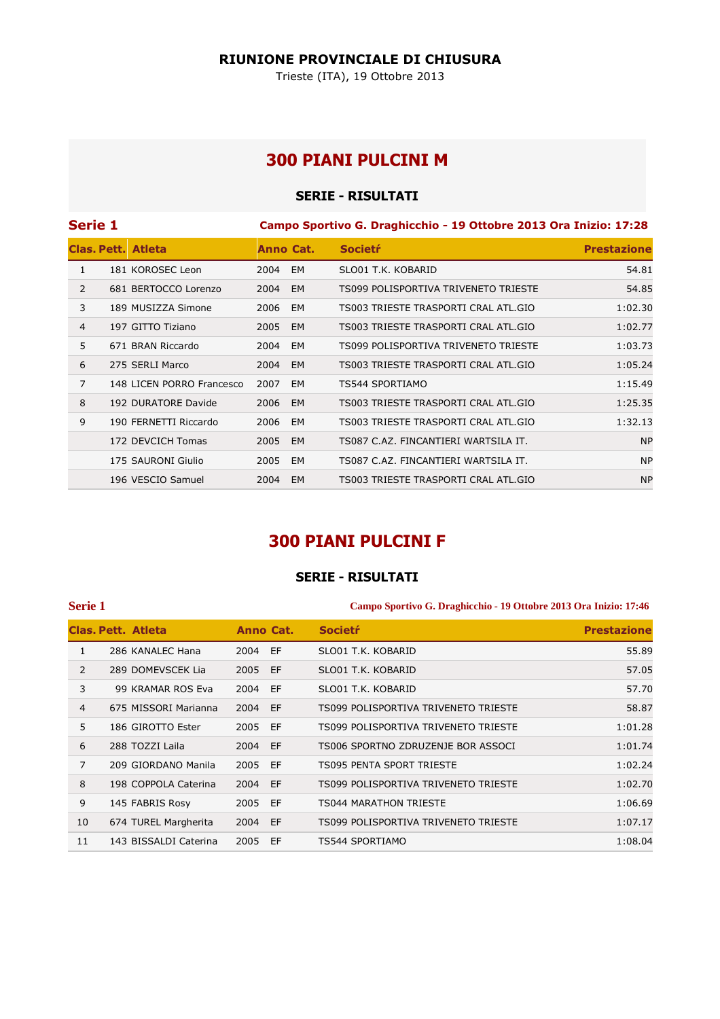### **RIUNIONE PROVINCIALE DI CHIUSURA**

Trieste (ITA), 19 Ottobre 2013

## **300 PIANI PULCINI M**

## **SERIE - RISULTATI**

| <b>Serie 1</b> |                           |      |           | Campo Sportivo G. Draghicchio - 19 Ottobre 2013 Ora Inizio: 17:28 |                    |
|----------------|---------------------------|------|-----------|-------------------------------------------------------------------|--------------------|
|                | <b>Clas, Pett. Atleta</b> |      | Anno Cat. | <b>Societr</b>                                                    | <b>Prestazione</b> |
| 1              | 181 KOROSEC Leon          | 2004 | EM        | SLO01 T.K. KOBARID                                                | 54.81              |
| $\overline{2}$ | 681 BERTOCCO Lorenzo      | 2004 | EM        | TS099 POLISPORTIVA TRIVENETO TRIESTE                              | 54.85              |
| 3              | 189 MUSIZZA Simone        | 2006 | EM        | TS003 TRIESTE TRASPORTI CRAL ATL.GIO                              | 1:02.30            |
| 4              | 197 GITTO Tiziano         | 2005 | EM        | TS003 TRIESTE TRASPORTI CRAL ATL.GIO                              | 1:02.77            |
| 5              | 671 BRAN Riccardo         | 2004 | EM        | TS099 POLISPORTIVA TRIVENETO TRIESTE                              | 1:03.73            |
| 6              | 275 SERLI Marco           | 2004 | <b>EM</b> | TS003 TRIESTE TRASPORTI CRAL ATL.GIO                              | 1:05.24            |
| $\overline{7}$ | 148 LICEN PORRO Francesco | 2007 | EM        | TS544 SPORTIAMO                                                   | 1:15.49            |
| 8              | 192 DURATORE Davide       | 2006 | <b>EM</b> | TS003 TRIESTE TRASPORTI CRAL ATL.GIO                              | 1:25.35            |
| 9              | 190 FERNETTI Riccardo     | 2006 | EM        | TS003 TRIESTE TRASPORTI CRAL ATL.GIO                              | 1:32.13            |
|                | 172 DEVCICH Tomas         | 2005 | EM        | TS087 C.AZ. FINCANTIERI WARTSILA IT.                              | <b>NP</b>          |
|                | 175 SAURONI Giulio        | 2005 | EM        | TS087 C.AZ. FINCANTIERI WARTSILA IT.                              | <b>NP</b>          |
|                | 196 VESCIO Samuel         | 2004 | EM.       | TS003 TRIESTE TRASPORTI CRAL ATL.GIO                              | <b>NP</b>          |

# **300 PIANI PULCINI F**

## **SERIE - RISULTATI**

### **Serie 1 Campo Sportivo G. Draghicchio - 19 Ottobre 2013 Ora Inizio: 17:46**

|                | Clas. Pett. Atleta    | Anno Cat. |    | <b>Societr</b>                       | <b>Prestazione</b> |
|----------------|-----------------------|-----------|----|--------------------------------------|--------------------|
| 1              | 286 KANALEC Hana      | 2004 EF   |    | SLO01 T.K. KOBARID                   | 55.89              |
| $\mathcal{P}$  | 289 DOMEVSCEK Lia     | 2005 EF   |    | SLO01 T.K. KOBARID                   | 57.05              |
| 3              | 99 KRAMAR ROS Eva     | 2004      | EF | SLO01 T.K. KOBARID                   | 57.70              |
| $\overline{4}$ | 675 MISSORI Marianna  | 2004      | EF | TS099 POLISPORTIVA TRIVENETO TRIESTE | 58.87              |
| 5              | 186 GIROTTO Ester     | 2005 EF   |    | TS099 POLISPORTIVA TRIVENETO TRIESTE | 1:01.28            |
| 6              | 288 TOZZI Laila       | 2004 EF   |    | TS006 SPORTNO ZDRUZENJE BOR ASSOCI   | 1:01.74            |
| $\overline{7}$ | 209 GIORDANO Manila   | 2005 EF   |    | <b>TS095 PENTA SPORT TRIESTE</b>     | 1:02.24            |
| 8              | 198 COPPOLA Caterina  | 2004 EF   |    | TS099 POLISPORTIVA TRIVENETO TRIESTE | 1:02.70            |
| 9              | 145 FABRIS Rosy       | 2005 EF   |    | TS044 MARATHON TRIESTE               | 1:06.69            |
| 10             | 674 TUREL Margherita  | 2004      | EF | TS099 POLISPORTIVA TRIVENETO TRIESTE | 1:07.17            |
| 11             | 143 BISSALDI Caterina | 2005      | EF | TS544 SPORTIAMO                      | 1:08.04            |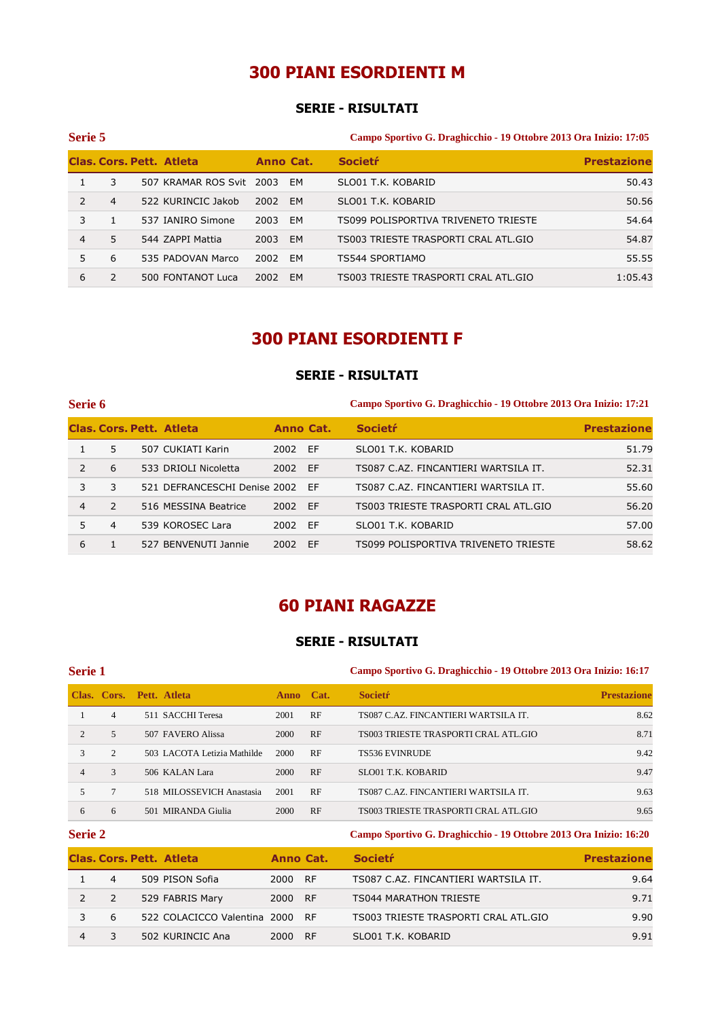# **300 PIANI ESORDIENTI M**

## **SERIE - RISULTATI**

| Serie 5       |                |                                 |           |           | Campo Sportivo G. Draghicchio - 19 Ottobre 2013 Ora Inizio: 17:05 |                    |  |
|---------------|----------------|---------------------------------|-----------|-----------|-------------------------------------------------------------------|--------------------|--|
|               |                | <b>Clas. Cors. Pett. Atleta</b> | Anno Cat. |           | <b>Societr</b>                                                    | <b>Prestazione</b> |  |
|               | 3              | 507 KRAMAR ROS Svit 2003        |           | EM        | SLO01 T.K. KOBARID                                                | 50.43              |  |
| $\mathcal{P}$ | $\overline{4}$ | 522 KURINCIC Jakob              | 2002      | EM        | SLO01 T.K. KOBARID                                                | 50.56              |  |
| 3             |                | 537 IANIRO Simone               | 2003      | EM        | TS099 POLISPORTIVA TRIVENETO TRIESTE                              | 54.64              |  |
| 4             | 5.             | 544 ZAPPI Mattia                | 2003      | EM        | TS003 TRIESTE TRASPORTI CRAL ATL.GIO                              | 54.87              |  |
| 5.            | 6              | 535 PADOVAN Marco               | 2002      | EM        | TS544 SPORTIAMO                                                   | 55.55              |  |
| 6             | 2              | 500 FONTANOT Luca               | 2002      | <b>EM</b> | TS003 TRIESTE TRASPORTI CRAL ATL.GIO                              | 1:05.43            |  |

## **300 PIANI ESORDIENTI F**

### **SERIE - RISULTATI**

| Serie 6        |                |                                 |           |    | Campo Sportivo G. Draghicchio - 19 Ottobre 2013 Ora Inizio: 17:21 |                    |  |
|----------------|----------------|---------------------------------|-----------|----|-------------------------------------------------------------------|--------------------|--|
|                |                | <b>Clas, Cors, Pett. Atleta</b> | Anno Cat. |    | <b>Societr</b>                                                    | <b>Prestazione</b> |  |
|                | 5.             | 507 CUKIATI Karin               | 2002 EF   |    | SLO01 T.K. KOBARID                                                | 51.79              |  |
| $\mathcal{L}$  | 6              | 533 DRIOLI Nicoletta            | 2002 EF   |    | TS087 C.AZ. FINCANTIERI WARTSILA IT.                              | 52.31              |  |
| 3              | 3              | 521 DEFRANCESCHI Denise 2002 EF |           |    | TS087 C.AZ. FINCANTIERI WARTSILA IT.                              | 55.60              |  |
| $\overline{4}$ | $\mathcal{L}$  | 516 MESSINA Beatrice            | 2002 EF   |    | TS003 TRIESTE TRASPORTI CRAL ATL.GIO                              | 56.20              |  |
| 5              | $\overline{a}$ | 539 KOROSEC Lara                | 2002 EF   |    | SLO01 T.K. KOBARID                                                | 57.00              |  |
| 6              |                | 527 BENVENUTI Jannie            | 2002      | EF | TS099 POLISPORTIVA TRIVENETO TRIESTE                              | 58.62              |  |

# **60 PIANI RAGAZZE**

## **SERIE - RISULTATI**

### **Serie 1 Campo Sportivo G. Draghicchio - 19 Ottobre 2013 Ora Inizio: 16:17**

|                |                | Clas. Cors. Pett. Atleta    | <b>Anno</b> | Cat. | <b>Societr</b>                       | <b>Prestazione</b> |
|----------------|----------------|-----------------------------|-------------|------|--------------------------------------|--------------------|
|                | $\overline{4}$ | 511 SACCHI Teresa           | 2001        | RF   | TS087 C.AZ. FINCANTIERI WARTSILA IT. | 8.62               |
| $\mathfrak{D}$ | $\overline{5}$ | 507 FAVERO Alissa           | 2000        | RF   | TS003 TRIESTE TRASPORTI CRAL ATL.GIO | 8.71               |
| 3              | $\mathcal{L}$  | 503 LACOTA Letizia Mathilde | 2000        | RF   | <b>TS536 EVINRUDE</b>                | 9.42               |
|                | $\mathcal{F}$  | 506 KALAN Lara              | 2000        | RF   | SLO01 T.K. KOBARID                   | 9.47               |
|                |                | 518 MILOSSEVICH Anastasia   | 2001        | RF   | TS087 C.AZ. FINCANTIERI WARTSILA IT. | 9.63               |
| 6              | 6              | 501 MIRANDA Giulia          | 2000        | RF   | TS003 TRIESTE TRASPORTI CRAL ATL.GIO | 9.65               |

### **Serie 2 Campo Sportivo G. Draghicchio - 19 Ottobre 2013 Ora Inizio: 16:20**

|                | <b>Clas, Cors, Pett. Atleta</b> |         | Anno Cat. | <b>Societr</b>                       | <b>Prestazione</b> |
|----------------|---------------------------------|---------|-----------|--------------------------------------|--------------------|
| $\overline{4}$ | 509 PISON Sofia                 | 2000 RF |           | TS087 C.AZ. FINCANTIERI WARTSILA IT. | 9.64               |
| $\sim$ 2       | 529 FABRIS Mary                 | 2000 RF |           | TS044 MARATHON TRIESTE               | 9.71               |
| 6              | 522 COLACICCO Valentina 2000 RF |         |           | TS003 TRIESTE TRASPORTI CRAL ATL.GIO | 9.90               |
|                | 502 KURINCIC Ana                | 2000 RF |           | SLO01 T.K. KOBARID                   | 9.91               |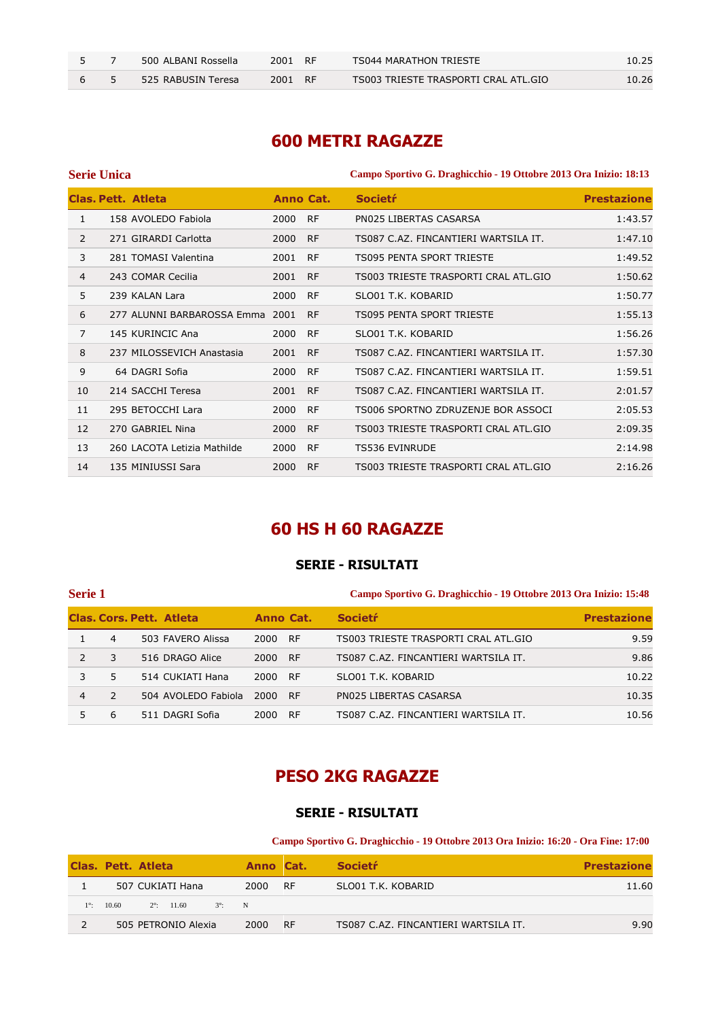|  | 500 ALBANI Rossella | 2001 RF | TS044 MARATHON TRIESTE               | 10.25 |
|--|---------------------|---------|--------------------------------------|-------|
|  | 525 RABUSIN Teresa  | 2001 RF | TS003 TRIESTE TRASPORTI CRAL ATL.GIO | 10.26 |

## **600 METRI RAGAZZE**

|                | <b>Serie Unica</b> |                                 |      |           | Campo Sportivo G. Draghicchio - 19 Ottobre 2013 Ora Inizio: 18:13 |                    |  |
|----------------|--------------------|---------------------------------|------|-----------|-------------------------------------------------------------------|--------------------|--|
|                |                    | <b>Clas, Pett. Atleta</b>       |      | Anno Cat. | <b>Societr</b>                                                    | <b>Prestazione</b> |  |
| 1              |                    | 158 AVOLEDO Fabiola             | 2000 | <b>RF</b> | PN025 LIBERTAS CASARSA                                            | 1:43.57            |  |
| $\overline{2}$ |                    | 271 GIRARDI Carlotta            | 2000 | <b>RF</b> | TS087 C.AZ. FINCANTIERI WARTSILA IT.                              | 1:47.10            |  |
| 3              |                    | 281 TOMASI Valentina            | 2001 | <b>RF</b> | TS095 PENTA SPORT TRIESTE                                         | 1:49.52            |  |
| 4              |                    | 243 COMAR Cecilia               | 2001 | <b>RF</b> | TS003 TRIESTE TRASPORTI CRAL ATL.GIO                              | 1:50.62            |  |
| 5              |                    | 239 KALAN Lara                  | 2000 | <b>RF</b> | SLO01 T.K. KOBARID                                                | 1:50.77            |  |
| 6              |                    | 277 ALUNNI BARBAROSSA Emma 2001 |      | <b>RF</b> | TS095 PENTA SPORT TRIESTE                                         | 1:55.13            |  |
| $\overline{7}$ |                    | 145 KURINCIC Ana                | 2000 | <b>RF</b> | SLO01 T.K. KOBARID                                                | 1:56.26            |  |
| 8              |                    | 237 MILOSSEVICH Anastasia       | 2001 | <b>RF</b> | TS087 C.AZ. FINCANTIERI WARTSILA IT.                              | 1:57.30            |  |
| 9              |                    | 64 DAGRI Sofia                  | 2000 | <b>RF</b> | TS087 C.AZ. FINCANTIERI WARTSILA IT.                              | 1:59.51            |  |
| 10             |                    | 214 SACCHI Teresa               | 2001 | <b>RF</b> | TS087 C.AZ. FINCANTIERI WARTSILA IT.                              | 2:01.57            |  |
| 11             |                    | 295 BETOCCHI Lara               | 2000 | <b>RF</b> | TS006 SPORTNO ZDRUZENJE BOR ASSOCI                                | 2:05.53            |  |
| 12             |                    | 270 GABRIEL Nina                | 2000 | <b>RF</b> | TS003 TRIESTE TRASPORTI CRAL ATL.GIO                              | 2:09.35            |  |
| 13             |                    | 260 LACOTA Letizia Mathilde     | 2000 | <b>RF</b> | <b>TS536 EVINRUDE</b>                                             | 2:14.98            |  |
| 14             |                    | 135 MINIUSSI Sara               | 2000 | <b>RF</b> | TS003 TRIESTE TRASPORTI CRAL ATL.GIO                              | 2:16.26            |  |

# **60 HS H 60 RAGAZZE**

## **SERIE - RISULTATI**

| <b>Serie 1</b> |               |                                 |           |           | Campo Sportivo G. Draghicchio - 19 Ottobre 2013 Ora Inizio: 15:48 |                    |  |
|----------------|---------------|---------------------------------|-----------|-----------|-------------------------------------------------------------------|--------------------|--|
|                |               | <b>Clas, Cors, Pett. Atleta</b> | Anno Cat. |           | <b>Societr</b>                                                    | <b>Prestazione</b> |  |
|                | 4             | 503 FAVERO Alissa               | 2000      | <b>RF</b> | TS003 TRIESTE TRASPORTI CRAL ATL.GIO                              | 9.59               |  |
| $\mathcal{L}$  | 3             | 516 DRAGO Alice                 | 2000      | <b>RF</b> | TS087 C.AZ. FINCANTIERI WARTSILA IT.                              | 9.86               |  |
| 3              | 5.            | 514 CUKIATI Hana                | 2000      | <b>RF</b> | SLO01 T.K. KOBARID                                                | 10.22              |  |
| $\overline{4}$ | $\mathcal{L}$ | 504 AVOLEDO Fabiola             | 2000      | <b>RF</b> | PN025 LIBERTAS CASARSA                                            | 10.35              |  |
|                | 6             | 511 DAGRI Sofia                 | 2000      | <b>RF</b> | TS087 C.AZ. FINCANTIERI WARTSILA IT.                              | 10.56              |  |

# **PESO 2KG RAGAZZE**

### **SERIE - RISULTATI**

**Campo Sportivo G. Draghicchio - 19 Ottobre 2013 Ora Inizio: 16:20 - Ora Fine: 17:00** 

|             |       | Clas. Pett. Atleta                   |      | Anno Cat. | <b>Societr</b>                       | <b>Prestazione</b> |
|-------------|-------|--------------------------------------|------|-----------|--------------------------------------|--------------------|
|             |       | 507 CUKIATI Hana                     | 2000 | RF        | SLO01 T.K. KOBARID                   | 11.60              |
| $1^\circ$ : | 10.60 | $2^{\circ}$ : 11.60<br>$3^\circ$ : N |      |           |                                      |                    |
|             |       | 505 PETRONIO Alexia                  | 2000 | - RF      | TS087 C.AZ. FINCANTIERI WARTSILA IT. | 9.90               |